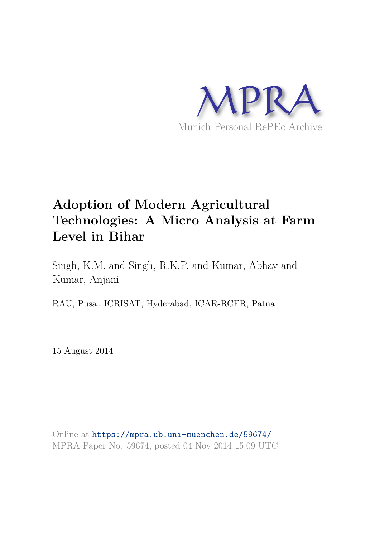

# **Adoption of Modern Agricultural Technologies: A Micro Analysis at Farm Level in Bihar**

Singh, K.M. and Singh, R.K.P. and Kumar, Abhay and Kumar, Anjani

RAU, Pusa,, ICRISAT, Hyderabad, ICAR-RCER, Patna

15 August 2014

Online at https://mpra.ub.uni-muenchen.de/59674/ MPRA Paper No. 59674, posted 04 Nov 2014 15:09 UTC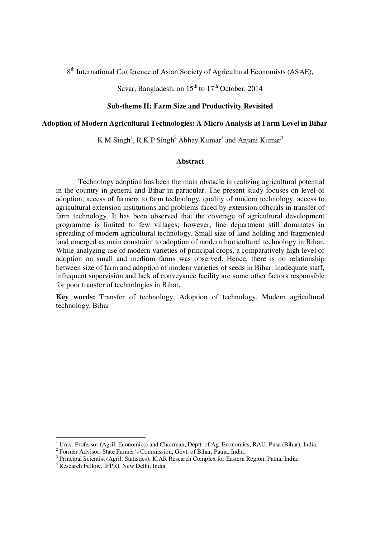8<sup>th</sup> International Conference of Asian Society of Agricultural Economists (ASAE),

Savar, Bangladesh, on  $15^{th}$  to  $17^{th}$  October, 2014

## **Sub-theme II: Farm Size and Productivity Revisited**

## **Adoption of Modern Agricultural Technologies: A Micro Analysis at Farm Level in Bihar**

K M Singh<sup>1</sup>, R K P Singh<sup>2</sup> Abhay Kumar<sup>3</sup> and Anjani Kumar<sup>4</sup>

### **Abstract**

Technology adoption has been the main obstacle in realizing agricultural potential in the country in general and Bihar in particular. The present study focuses on level of adoption, access of farmers to farm technology, quality of modern technology, access to agricultural extension institutions and problems faced by extension officials in transfer of farm technology. It has been observed that the coverage of agricultural development programme is limited to few villages; however, line department still dominates in spreading of modern agricultural technology. Small size of land holding and fragmented land emerged as main constraint to adoption of modern horticultural technology in Bihar. While analyzing use of modern varieties of principal crops, a comparatively high level of adoption on small and medium farms was observed. Hence, there is no relationship between size of farm and adoption of modern varieties of seeds in Bihar. Inadequate staff, infrequent supervision and lack of conveyance facility are some other factors responsible for poor transfer of technologies in Bihar.

**Key words:** Transfer of technology, Adoption of technology, Modern agricultural technology, Bihar

 1 Univ. Professor (Agril. Economics) and Chairman, Deptt. of Ag. Economics, RAU, Pusa (Bihar), India.

<sup>&</sup>lt;sup>2</sup> Former Advisor, State Farmer's Commission, Govt. of Bihar, Patna, India.

<sup>&</sup>lt;sup>3</sup> Principal Scientist (Agril. Statistics), ICAR Research Complex for Eastern Region, Patna, India.

<sup>4</sup> Research Fellow, IFPRI, New Delhi, India.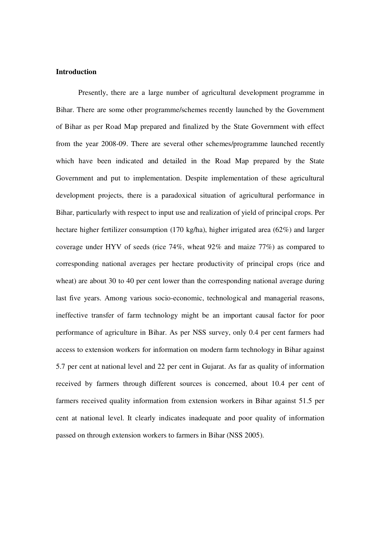#### **Introduction**

Presently, there are a large number of agricultural development programme in Bihar. There are some other programme/schemes recently launched by the Government of Bihar as per Road Map prepared and finalized by the State Government with effect from the year 2008-09. There are several other schemes/programme launched recently which have been indicated and detailed in the Road Map prepared by the State Government and put to implementation. Despite implementation of these agricultural development projects, there is a paradoxical situation of agricultural performance in Bihar, particularly with respect to input use and realization of yield of principal crops. Per hectare higher fertilizer consumption (170 kg/ha), higher irrigated area (62%) and larger coverage under HYV of seeds (rice 74%, wheat 92% and maize 77%) as compared to corresponding national averages per hectare productivity of principal crops (rice and wheat) are about 30 to 40 per cent lower than the corresponding national average during last five years. Among various socio-economic, technological and managerial reasons, ineffective transfer of farm technology might be an important causal factor for poor performance of agriculture in Bihar. As per NSS survey, only 0.4 per cent farmers had access to extension workers for information on modern farm technology in Bihar against 5.7 per cent at national level and 22 per cent in Gujarat. As far as quality of information received by farmers through different sources is concerned, about 10.4 per cent of farmers received quality information from extension workers in Bihar against 51.5 per cent at national level. It clearly indicates inadequate and poor quality of information passed on through extension workers to farmers in Bihar (NSS 2005).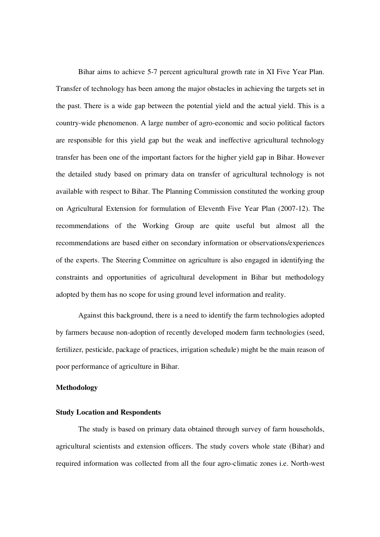Bihar aims to achieve 5-7 percent agricultural growth rate in XI Five Year Plan. Transfer of technology has been among the major obstacles in achieving the targets set in the past. There is a wide gap between the potential yield and the actual yield. This is a country-wide phenomenon. A large number of agro-economic and socio political factors are responsible for this yield gap but the weak and ineffective agricultural technology transfer has been one of the important factors for the higher yield gap in Bihar. However the detailed study based on primary data on transfer of agricultural technology is not available with respect to Bihar. The Planning Commission constituted the working group on Agricultural Extension for formulation of Eleventh Five Year Plan (2007-12). The recommendations of the Working Group are quite useful but almost all the recommendations are based either on secondary information or observations/experiences of the experts. The Steering Committee on agriculture is also engaged in identifying the constraints and opportunities of agricultural development in Bihar but methodology adopted by them has no scope for using ground level information and reality.

 Against this background, there is a need to identify the farm technologies adopted by farmers because non-adoption of recently developed modern farm technologies (seed, fertilizer, pesticide, package of practices, irrigation schedule) might be the main reason of poor performance of agriculture in Bihar.

#### **Methodology**

## **Study Location and Respondents**

 The study is based on primary data obtained through survey of farm households, agricultural scientists and extension officers. The study covers whole state (Bihar) and required information was collected from all the four agro-climatic zones i.e. North-west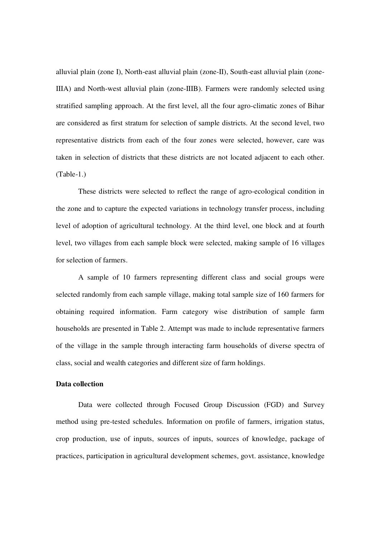alluvial plain (zone I), North-east alluvial plain (zone-II), South-east alluvial plain (zone-IIIA) and North-west alluvial plain (zone-IIIB). Farmers were randomly selected using stratified sampling approach. At the first level, all the four agro-climatic zones of Bihar are considered as first stratum for selection of sample districts. At the second level, two representative districts from each of the four zones were selected, however, care was taken in selection of districts that these districts are not located adjacent to each other. (Table-1.)

 These districts were selected to reflect the range of agro-ecological condition in the zone and to capture the expected variations in technology transfer process, including level of adoption of agricultural technology. At the third level, one block and at fourth level, two villages from each sample block were selected, making sample of 16 villages for selection of farmers.

 A sample of 10 farmers representing different class and social groups were selected randomly from each sample village, making total sample size of 160 farmers for obtaining required information. Farm category wise distribution of sample farm households are presented in Table 2. Attempt was made to include representative farmers of the village in the sample through interacting farm households of diverse spectra of class, social and wealth categories and different size of farm holdings.

## **Data collection**

 Data were collected through Focused Group Discussion (FGD) and Survey method using pre-tested schedules. Information on profile of farmers, irrigation status, crop production, use of inputs, sources of inputs, sources of knowledge, package of practices, participation in agricultural development schemes, govt. assistance, knowledge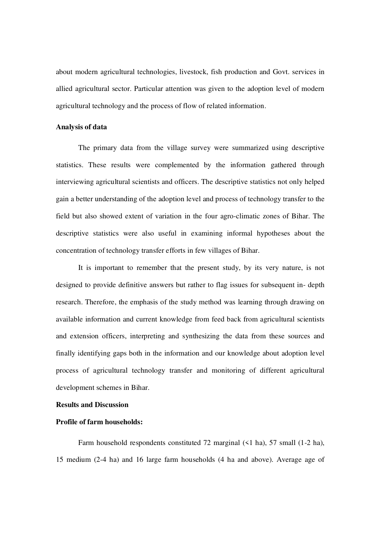about modern agricultural technologies, livestock, fish production and Govt. services in allied agricultural sector. Particular attention was given to the adoption level of modern agricultural technology and the process of flow of related information.

#### **Analysis of data**

 The primary data from the village survey were summarized using descriptive statistics. These results were complemented by the information gathered through interviewing agricultural scientists and officers. The descriptive statistics not only helped gain a better understanding of the adoption level and process of technology transfer to the field but also showed extent of variation in the four agro-climatic zones of Bihar. The descriptive statistics were also useful in examining informal hypotheses about the concentration of technology transfer efforts in few villages of Bihar.

 It is important to remember that the present study, by its very nature, is not designed to provide definitive answers but rather to flag issues for subsequent in- depth research. Therefore, the emphasis of the study method was learning through drawing on available information and current knowledge from feed back from agricultural scientists and extension officers, interpreting and synthesizing the data from these sources and finally identifying gaps both in the information and our knowledge about adoption level process of agricultural technology transfer and monitoring of different agricultural development schemes in Bihar.

## **Results and Discussion**

## **Profile of farm households:**

Farm household respondents constituted 72 marginal (<1 ha), 57 small (1-2 ha), 15 medium (2-4 ha) and 16 large farm households (4 ha and above). Average age of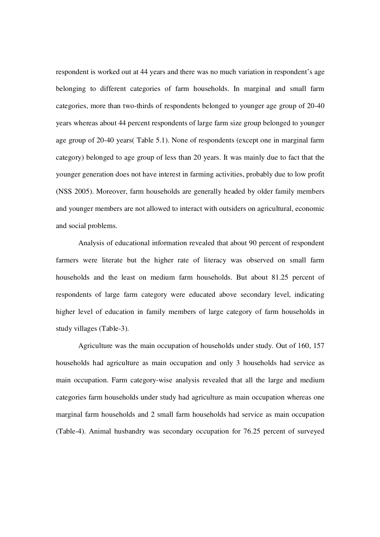respondent is worked out at 44 years and there was no much variation in respondent's age belonging to different categories of farm households. In marginal and small farm categories, more than two-thirds of respondents belonged to younger age group of 20-40 years whereas about 44 percent respondents of large farm size group belonged to younger age group of 20-40 years( Table 5.1). None of respondents (except one in marginal farm category) belonged to age group of less than 20 years. It was mainly due to fact that the younger generation does not have interest in farming activities, probably due to low profit (NSS 2005). Moreover, farm households are generally headed by older family members and younger members are not allowed to interact with outsiders on agricultural, economic and social problems.

 Analysis of educational information revealed that about 90 percent of respondent farmers were literate but the higher rate of literacy was observed on small farm households and the least on medium farm households. But about 81.25 percent of respondents of large farm category were educated above secondary level, indicating higher level of education in family members of large category of farm households in study villages (Table-3).

 Agriculture was the main occupation of households under study. Out of 160, 157 households had agriculture as main occupation and only 3 households had service as main occupation. Farm category-wise analysis revealed that all the large and medium categories farm households under study had agriculture as main occupation whereas one marginal farm households and 2 small farm households had service as main occupation (Table-4). Animal husbandry was secondary occupation for 76.25 percent of surveyed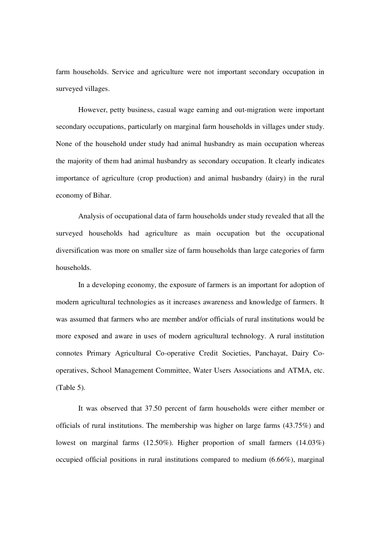farm households. Service and agriculture were not important secondary occupation in surveyed villages.

 However, petty business, casual wage earning and out-migration were important secondary occupations, particularly on marginal farm households in villages under study. None of the household under study had animal husbandry as main occupation whereas the majority of them had animal husbandry as secondary occupation. It clearly indicates importance of agriculture (crop production) and animal husbandry (dairy) in the rural economy of Bihar.

Analysis of occupational data of farm households under study revealed that all the surveyed households had agriculture as main occupation but the occupational diversification was more on smaller size of farm households than large categories of farm households.

 In a developing economy, the exposure of farmers is an important for adoption of modern agricultural technologies as it increases awareness and knowledge of farmers. It was assumed that farmers who are member and/or officials of rural institutions would be more exposed and aware in uses of modern agricultural technology. A rural institution connotes Primary Agricultural Co-operative Credit Societies, Panchayat, Dairy Cooperatives, School Management Committee, Water Users Associations and ATMA, etc. (Table 5).

 It was observed that 37.50 percent of farm households were either member or officials of rural institutions. The membership was higher on large farms (43.75%) and lowest on marginal farms (12.50%). Higher proportion of small farmers (14.03%) occupied official positions in rural institutions compared to medium (6.66%), marginal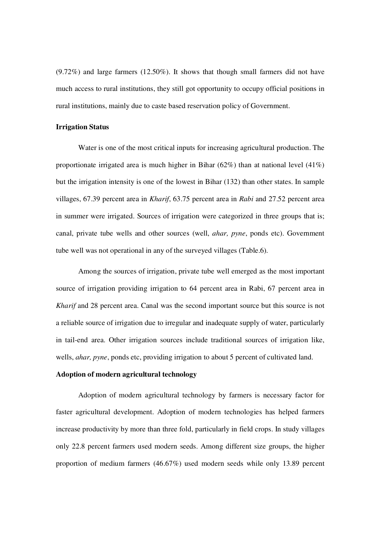(9.72%) and large farmers (12.50%). It shows that though small farmers did not have much access to rural institutions, they still got opportunity to occupy official positions in rural institutions, mainly due to caste based reservation policy of Government.

#### **Irrigation Status**

 Water is one of the most critical inputs for increasing agricultural production. The proportionate irrigated area is much higher in Bihar  $(62%)$  than at national level  $(41%)$ but the irrigation intensity is one of the lowest in Bihar (132) than other states. In sample villages, 67.39 percent area in *Kharif*, 63.75 percent area in *Rabi* and 27.52 percent area in summer were irrigated. Sources of irrigation were categorized in three groups that is; canal, private tube wells and other sources (well, *ahar, pyne*, ponds etc). Government tube well was not operational in any of the surveyed villages (Table.6).

Among the sources of irrigation, private tube well emerged as the most important source of irrigation providing irrigation to 64 percent area in Rabi, 67 percent area in *Kharif* and 28 percent area. Canal was the second important source but this source is not a reliable source of irrigation due to irregular and inadequate supply of water, particularly in tail-end area. Other irrigation sources include traditional sources of irrigation like, wells, *ahar*, *pyne*, ponds etc, providing irrigation to about 5 percent of cultivated land.

## **Adoption of modern agricultural technology**

 Adoption of modern agricultural technology by farmers is necessary factor for faster agricultural development. Adoption of modern technologies has helped farmers increase productivity by more than three fold, particularly in field crops. In study villages only 22.8 percent farmers used modern seeds. Among different size groups, the higher proportion of medium farmers (46.67%) used modern seeds while only 13.89 percent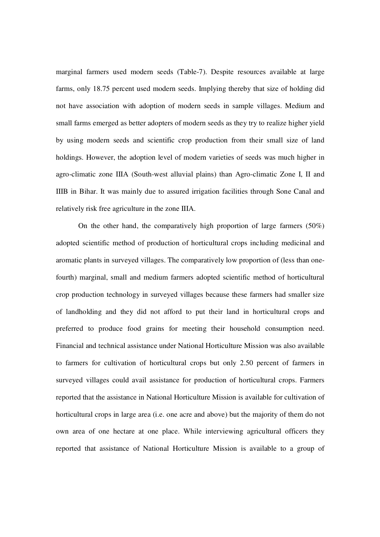marginal farmers used modern seeds (Table-7). Despite resources available at large farms, only 18.75 percent used modern seeds. Implying thereby that size of holding did not have association with adoption of modern seeds in sample villages. Medium and small farms emerged as better adopters of modern seeds as they try to realize higher yield by using modern seeds and scientific crop production from their small size of land holdings. However, the adoption level of modern varieties of seeds was much higher in agro-climatic zone IIIA (South-west alluvial plains) than Agro-climatic Zone I, II and IIIB in Bihar. It was mainly due to assured irrigation facilities through Sone Canal and relatively risk free agriculture in the zone IIIA.

 On the other hand, the comparatively high proportion of large farmers (50%) adopted scientific method of production of horticultural crops including medicinal and aromatic plants in surveyed villages. The comparatively low proportion of (less than onefourth) marginal, small and medium farmers adopted scientific method of horticultural crop production technology in surveyed villages because these farmers had smaller size of landholding and they did not afford to put their land in horticultural crops and preferred to produce food grains for meeting their household consumption need. Financial and technical assistance under National Horticulture Mission was also available to farmers for cultivation of horticultural crops but only 2.50 percent of farmers in surveyed villages could avail assistance for production of horticultural crops. Farmers reported that the assistance in National Horticulture Mission is available for cultivation of horticultural crops in large area (i.e. one acre and above) but the majority of them do not own area of one hectare at one place. While interviewing agricultural officers they reported that assistance of National Horticulture Mission is available to a group of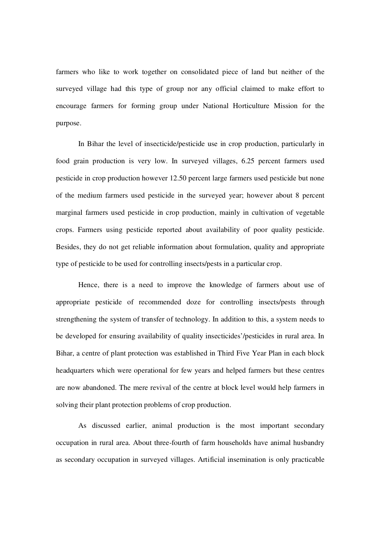farmers who like to work together on consolidated piece of land but neither of the surveyed village had this type of group nor any official claimed to make effort to encourage farmers for forming group under National Horticulture Mission for the purpose.

 In Bihar the level of insecticide/pesticide use in crop production, particularly in food grain production is very low. In surveyed villages, 6.25 percent farmers used pesticide in crop production however 12.50 percent large farmers used pesticide but none of the medium farmers used pesticide in the surveyed year; however about 8 percent marginal farmers used pesticide in crop production, mainly in cultivation of vegetable crops. Farmers using pesticide reported about availability of poor quality pesticide. Besides, they do not get reliable information about formulation, quality and appropriate type of pesticide to be used for controlling insects/pests in a particular crop.

 Hence, there is a need to improve the knowledge of farmers about use of appropriate pesticide of recommended doze for controlling insects/pests through strengthening the system of transfer of technology. In addition to this, a system needs to be developed for ensuring availability of quality insecticides'/pesticides in rural area. In Bihar, a centre of plant protection was established in Third Five Year Plan in each block headquarters which were operational for few years and helped farmers but these centres are now abandoned. The mere revival of the centre at block level would help farmers in solving their plant protection problems of crop production.

 As discussed earlier, animal production is the most important secondary occupation in rural area. About three-fourth of farm households have animal husbandry as secondary occupation in surveyed villages. Artificial insemination is only practicable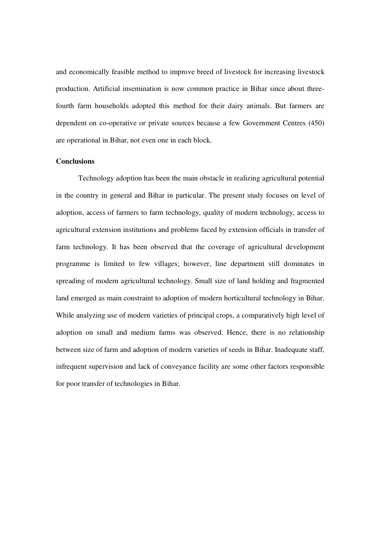and economically feasible method to improve breed of livestock for increasing livestock production. Artificial insemination is now common practice in Bihar since about threefourth farm households adopted this method for their dairy animals. But farmers are dependent on co-operative or private sources because a few Government Centres (450) are operational in Bihar, not even one in each block.

#### **Conclusions**

Technology adoption has been the main obstacle in realizing agricultural potential in the country in general and Bihar in particular. The present study focuses on level of adoption, access of farmers to farm technology, quality of modern technology, access to agricultural extension institutions and problems faced by extension officials in transfer of farm technology. It has been observed that the coverage of agricultural development programme is limited to few villages; however, line department still dominates in spreading of modern agricultural technology. Small size of land holding and fragmented land emerged as main constraint to adoption of modern horticultural technology in Bihar. While analyzing use of modern varieties of principal crops, a comparatively high level of adoption on small and medium farms was observed. Hence, there is no relationship between size of farm and adoption of modern varieties of seeds in Bihar. Inadequate staff, infrequent supervision and lack of conveyance facility are some other factors responsible for poor transfer of technologies in Bihar.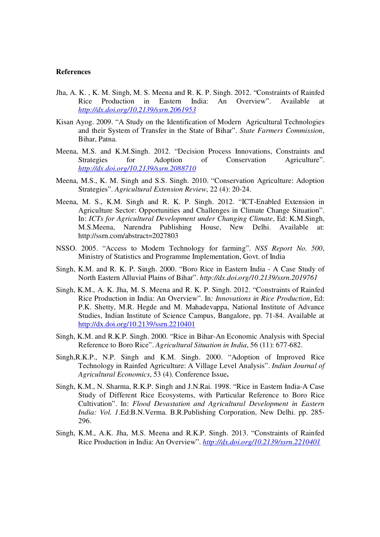#### **References**

- Jha, A. K. , K. M. Singh, M. S. Meena and R. K. P. Singh. 2012. "Constraints of Rainfed Rice Production in Eastern India: An Overview". Available at *http://dx.doi.org/10.2139/ssrn.2061953*
- Kisan Ayog. 2009. "A Study on the Identification of Modern Agricultural Technologies and their System of Transfer in the State of Bihar". *State Farmers Commission*, Bihar, Patna.
- Meena, M.S. and K.M.Singh. 2012. "Decision Process Innovations, Constraints and Strategies for Adoption of Conservation Agriculture". *http://dx.doi.org/10.2139/ssrn.2088710*
- Meena, M.S., K. M. Singh and S.S. Singh. 2010. "Conservation Agriculture: Adoption Strategies". *Agricultural Extension Review*, 22 (4): 20-24.
- Meena, M. S., K.M. Singh and R. K. P. Singh. 2012. "ICT-Enabled Extension in Agriculture Sector: Opportunities and Challenges in Climate Change Situation". In: *ICTs for Agricultural Development under Changing Climate*, Ed: K.M.Singh, M.S.Meena, Narendra Publishing House, New Delhi. Available at: http://ssrn.com/abstract=2027803
- NSSO. 2005. "Access to Modern Technology for farming". *NSS Report No. 500*, Ministry of Statistics and Programme Implementation, Govt. of India
- Singh, K.M. and R. K. P. Singh. 2000. "Boro Rice in Eastern India A Case Study of North Eastern Alluvial Plains of Bihar". *http://dx.doi.org/10.2139/ssrn.2019761*
- Singh, K.M., A. K. Jha, M. S. Meena and R. K. P. Singh. 2012. "Constraints of Rainfed Rice Production in India: An Overview". In*: Innovations in Rice Production*, Ed: P.K. Shetty, M.R. Hegde and M. Mahadevappa, National Institute of Advance Studies, Indian Institute of Science Campus, Bangalore, pp. 71-84. Available at http://dx.doi.org/10.2139/ssrn.2210401
- Singh, K.M. and R.K.P. Singh. 2000. "Rice in Bihar-An Economic Analysis with Special Reference to Boro Rice". *Agricultural Situation in India*, 56 (11): 677-682.
- Singh,R.K.P., N.P. Singh and K.M. Singh. 2000. "Adoption of Improved Rice Technology in Rainfed Agriculture: A Village Level Analysis". *Indian Journal of Agricultural Economics*, 53 (4). Conference Issue**.**
- Singh, K.M., N. Sharma, R.K.P. Singh and J.N.Rai. 1998. "Rice in Eastern India-A Case Study of Different Rice Ecosystems, with Particular Reference to Boro Rice Cultivation". In: *Flood Devastation and Agricultural Development in Eastern India: Vol. 1*.Ed:B.N.Verma. B.R.Publishing Corporation, New Delhi. pp. 285- 296.
- Singh, K.M., A.K. Jha, M.S. Meena and R.K.P. Singh. 2013. "Constraints of Rainfed Rice Production in India: An Overview". *http://dx.doi.org/10.2139/ssrn.2210401*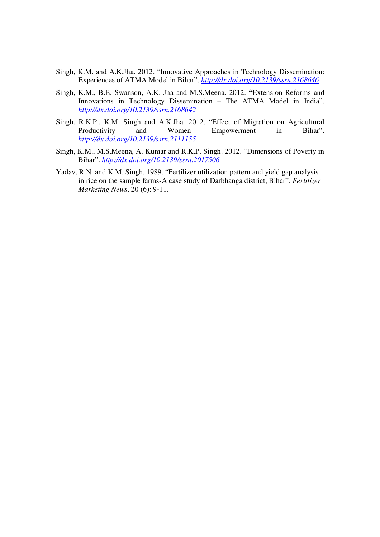- Singh, K.M. and A.K.Jha. 2012. "Innovative Approaches in Technology Dissemination: Experiences of ATMA Model in Bihar". *http://dx.doi.org/10.2139/ssrn.2168646*
- Singh, K.M., B.E. Swanson, A.K. Jha and M.S.Meena. 2012. **"**Extension Reforms and Innovations in Technology Dissemination – The ATMA Model in India". *http://dx.doi.org/10.2139/ssrn.2168642*
- Singh, R.K.P., K.M. Singh and A.K.Jha. 2012. "Effect of Migration on Agricultural Productivity and Women Empowerment in Bihar". *http://dx.doi.org/10.2139/ssrn.2111155*
- Singh, K.M., M.S.Meena, A. Kumar and R.K.P. Singh. 2012. "Dimensions of Poverty in Bihar". *http://dx.doi.org/10.2139/ssrn.2017506*
- Yadav, R.N. and K.M. Singh. 1989. "Fertilizer utilization pattern and yield gap analysis in rice on the sample farms-A case study of Darbhanga district, Bihar". *Fertilizer Marketing News*, 20 (6): 9-11.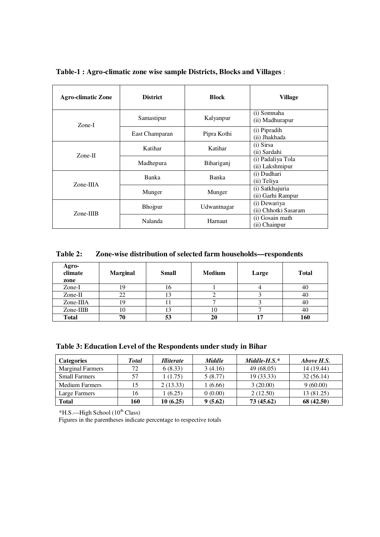| <b>Agro-climatic Zone</b> | <b>District</b> | <b>Block</b> | Village                              |
|---------------------------|-----------------|--------------|--------------------------------------|
| Zone-I                    | Samastipur      | Kalyanpur    | (i) Somnaha<br>(ii) Madhurapur       |
|                           | East Champaran  | Pipra Kothi  | (i) Pipradih<br>(ii) Jhakhada        |
| $Zone-II$                 | Katihar         | Katihar      | (i) Sirsa<br>(ii) Sardahi            |
|                           | Madhepura       | Bihariganj   | (i) Padaliya Tola<br>(ii) Lakshmipur |
| $Zone-IIIA$               | Banka           | Banka        | (i) Dudhari<br>(ii) Teliya           |
|                           | Munger          | Munger       | (i) Satkhajuria<br>(ii) Garhi Rampur |
| Zone-IIIB                 | Bhojpur         | Udwantnagar  | (i) Dewariya<br>(ii) Chhotki Sasaram |
|                           | <b>Nalanda</b>  | Harnaut      | (i) Gosain math<br>(ii) Chainpur     |

**Table-1 : Agro-climatic zone wise sample Districts, Blocks and Villages** :

**Table 2: Zone-wise distribution of selected farm households—respondents** 

| Agro-<br>climate<br>zone | <b>Marginal</b> | <b>Small</b> | <b>Medium</b> | Large | <b>Total</b> |
|--------------------------|-----------------|--------------|---------------|-------|--------------|
| Zone-I                   |                 | 16           |               |       | 40           |
| Zone-II                  | 22              | 13           |               |       | 40           |
| Zone-IIIA                | 19              | . .          |               |       | 40           |
| Zone-IIIB                | 10              | 13           | 10            |       | 40           |
| <b>Total</b>             | 70              | 53           | 20            | 17    | 160          |

| Table 3: Education Level of the Respondents under study in Bihar |  |  |  |  |
|------------------------------------------------------------------|--|--|--|--|
|------------------------------------------------------------------|--|--|--|--|

| <b>Categories</b>       | <b>Total</b> | <i>Illiterate</i> | <b>Middle</b> | $Middle-H.S.*$ | Above H.S. |
|-------------------------|--------------|-------------------|---------------|----------------|------------|
| <b>Marginal Farmers</b> | 72           | 6(8.33)           | 3(4.16)       | 49 (68.05)     | 14 (19.44) |
| <b>Small Farmers</b>    | 57           | 1 (1.75)          | 5(8.77)       | 19 (33.33)     | 32(56.14)  |
| <b>Medium Farmers</b>   |              | 2(13.33)          | 1 (6.66)      | 3(20.00)       | 9(60.00)   |
| Large Farmers           | 16           | (6.25)            | 0(0.00)       | 2(12.50)       | 13 (81.25) |
| <b>Total</b>            | 160          | 10(6.25)          | 9(5.62)       | 73 (45.62)     | 68 (42.50) |

 $*$ H.S.—High School (10<sup>th</sup> Class)

Figures in the parentheses indicate percentage to respective totals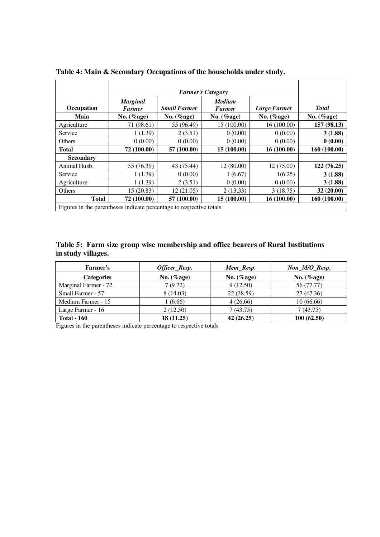| Occupation                                                          | <b>Marginal</b><br><b>Farmer</b> | <b>Small Farmer</b> | <b>Medium</b><br><b>Farmer</b> | Large Farmer   | <b>Total</b>   |  |  |
|---------------------------------------------------------------------|----------------------------------|---------------------|--------------------------------|----------------|----------------|--|--|
| Main                                                                | No. $(\%$ age)                   | No. $(\%$ age)      | No. $(\%$ age)                 | No. $(\%$ age) | No. $(\%$ age) |  |  |
| Agriculture                                                         | 71 (98.61)                       | 55 (96.49)          | 15 (100.00)                    | 16(100.00)     | 157 (98.13)    |  |  |
| Service                                                             | 1(1.39)                          | 2(3.51)             | 0(0.00)                        | 0(0.00)        | 3(1.88)        |  |  |
| Others                                                              | 0(0.00)                          | 0(0.00)             | 0(0.00)                        | 0(0.00)        | 0(0.00)        |  |  |
| <b>Total</b>                                                        | 72 (100.00)                      | 57 (100.00)         | 15 (100.00)                    | 16 (100.00)    | 160 (100.00)   |  |  |
| <b>Secondary</b>                                                    |                                  |                     |                                |                |                |  |  |
| Animal Husb.                                                        | 55 (76.39)                       | 43 (75.44)          | 12(80.00)                      | 12 (75.00)     | 122 (76.25)    |  |  |
| Service                                                             | 1(1.39)                          | 0(0.00)             | 1(6.67)                        | 1(6.25)        | 3(1.88)        |  |  |
| Agriculture                                                         | 1(1.39)                          | 2(3.51)             | 0(0.00)                        | 0(0.00)        | 3(1.88)        |  |  |
| Others                                                              | 15(20.83)                        | 12(21.05)           | 2(13.33)                       | 3(18.75)       | 32 (20.00)     |  |  |
| <b>Total</b>                                                        | 72 (100.00)                      | 57 (100.00)         | 15 (100.00)                    | 16(100.00)     | 160 (100.00)   |  |  |
| Figures in the parentheses indicate percentage to respective totals |                                  |                     |                                |                |                |  |  |

| Table 4: Main & Secondary Occupations of the households under study. |  |  |  |
|----------------------------------------------------------------------|--|--|--|
|                                                                      |  |  |  |

|                    |  |  | Table 5: Farm size group wise membership and office bearers of Rural Institutions |  |
|--------------------|--|--|-----------------------------------------------------------------------------------|--|
| in study villages. |  |  |                                                                                   |  |

| <b>Farmer's</b>      | Officer_Resp.  | Mem_Resp.      | Non_M/O_Resp.  |
|----------------------|----------------|----------------|----------------|
| <b>Categories</b>    | No. $(\%$ age) | No. $(\%$ age) | No. $(\%$ age) |
| Marginal Farmer - 72 | 7(9.72)        | 9(12.50)       | 56 (77.77)     |
| Small Farmer - 57    | 8(14.03)       | 22 (38.59)     | 27 (47.36)     |
| Medium Farmer - 15   | (6.66)         | 4(26.66)       | 10(66.66)      |
| Large Farmer - 16    | 2(12.50)       | 7(43.75)       | 7(43.75)       |
| <b>Total - 160</b>   | 18 (11.25)     | 42 (26.25)     | 100(62.50)     |

Figures in the parentheses indicate percentage to respective totals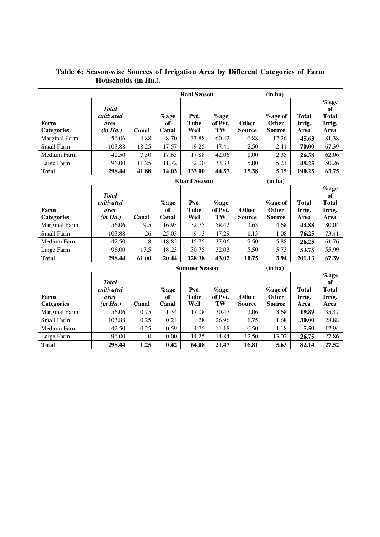|                   | Rabi Season        |          |            |                      | (in ha)            |               |                         |                        |                |
|-------------------|--------------------|----------|------------|----------------------|--------------------|---------------|-------------------------|------------------------|----------------|
|                   |                    |          |            |                      |                    |               |                         |                        | $%$ age        |
|                   | <b>Total</b>       |          |            |                      |                    |               |                         |                        | of             |
| Farm              | cultivated<br>area |          | %age<br>of | Pvt.<br><b>Tube</b>  | $%$ age<br>of Pvt. | Other         | <b>%age of</b><br>Other | <b>Total</b><br>Irrig. | <b>Total</b>   |
| <b>Categories</b> | (in Ha.)           | Canal    | Canal      | Well                 | TW                 | <b>Source</b> | <b>Source</b>           | Area                   | Irrig.<br>Area |
| Marginal Farm     | 56.06              | 4.88     | 8.70       | 33.88                | 60.42              | 6.88          | 12.26                   | 45.63                  | 81.38          |
| Small Farm        | 103.88             | 18.25    | 17.57      | 49.25                | 47.41              | 2.50          | 2.41                    | 70.00                  | 67.39          |
| Medium Farm       | 42.50              | 7.50     | 17.65      | 17.88                | 42.06              | 1.00          | 2.35                    | 26.38                  | 62.06          |
| Large Farm        | 96.00              | 11.25    | 11.72      | 32.00                | 33.33              | 5.00          | 5.21                    | 48.25                  | 50.26          |
| <b>Total</b>      | 298.44             | 41.88    | 14.03      | 133.00               | 44.57              | 15.38         | 5.15                    | 190.25                 | 63.75          |
|                   |                    |          |            | <b>Kharif Season</b> |                    |               | (in ha)                 |                        |                |
|                   |                    |          |            |                      |                    |               |                         |                        | %age           |
|                   | <b>Total</b>       |          |            |                      |                    |               |                         |                        | <sub>of</sub>  |
|                   | cultivated         |          | %age       | Pvt.                 | $%$ age            |               | <b>%age of</b>          | <b>Total</b>           | <b>Total</b>   |
| Farm              | area               |          | of         | <b>Tube</b>          | of Pvt.            | <b>Other</b>  | Other                   | Irrig.                 | Irrig.         |
| <b>Categories</b> | (in Ha.)           | Canal    | Canal      | Well                 | TW                 | <b>Source</b> | <b>Source</b>           | Area                   | Area           |
| Marginal Farm     | 56.06              | 9.5      | 16.95      | 32.75                | 58.42              | 2.63          | 4.68                    | 44.88                  | 80.04          |
| Small Farm        | 103.88             | 26       | 25.03      | 49.13                | 47.29              | 1.13          | 1.08                    | 76.25                  | 73.41          |
| Medium Farm       | 42.50              | 8        | 18.82      | 15.75                | 37.06              | 2.50          | 5.88                    | 26.25                  | 61.76          |
| Large Farm        | 96.00              | 17.5     | 18.23      | 30.75                | 32.03              | 5.50          | 5.73                    | 53.75                  | 55.99          |
| <b>Total</b>      | 298.44             | 61.00    | 20.44      | 128.38               | 43.02              | 11.75         | 3.94                    | 201.13                 | 67.39          |
|                   |                    |          |            | <b>Summer Season</b> |                    |               | (in ha)                 |                        |                |
|                   |                    |          |            |                      |                    |               |                         |                        | $\%$ age       |
|                   | <b>Total</b>       |          |            |                      |                    |               |                         |                        | <b>of</b>      |
|                   | cultivated         |          | %age       | Pvt.                 | $%$ age            |               | <b>%age of</b>          | <b>Total</b>           | <b>Total</b>   |
| Farm              | area               |          | of         | <b>Tube</b>          | of Pvt.            | Other         | Other                   | Irrig.                 | Irrig.         |
| <b>Categories</b> | (in Ha.)           | Canal    | Canal      | Well                 | TW                 | <b>Source</b> | <b>Source</b>           | Area                   | Area           |
| Marginal Farm     | 56.06              | 0.75     | 1.34       | 17.08                | 30.47              | 2.06          | 3.68                    | 19.89                  | 35.47          |
| Small Farm        | 103.88             | 0.25     | 0.24       | 28                   | 26.96              | 1.75          | 1.68                    | 30.00                  | 28.88          |
| Medium Farm       | 42.50              | 0.25     | 0.59       | 4.75                 | 11.18              | 0.50          | 1.18                    | 5.50                   | 12.94          |
| Large Farm        | 96.00              | $\theta$ | 0.00       | 14.25                | 14.84              | 12.50         | 13.02                   | 26.75                  | 27.86          |
| <b>Total</b>      | 298.44             | 1.25     | 0.42       | 64.08                | 21.47              | 16.81         | 5.63                    | 82.14                  | 27.52          |

# **Table 6: Season-wise Sources of Irrigation Area by Different Categories of Farm Households (in Ha.).**